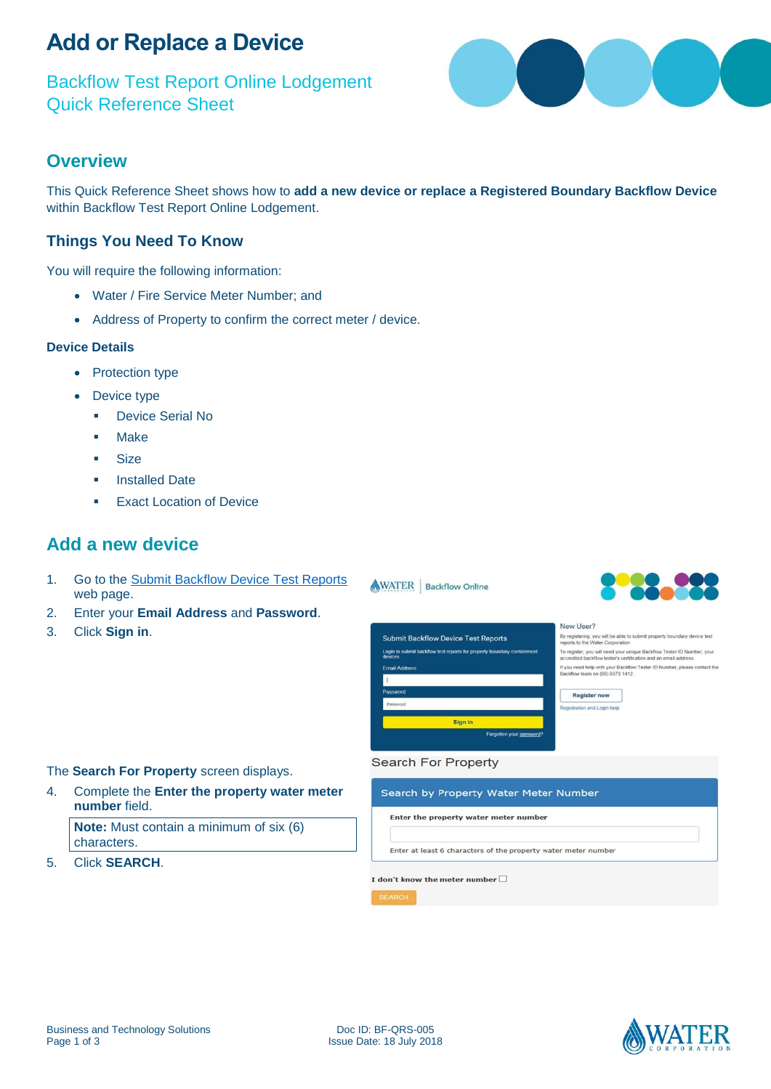# **Add or Replace a Device**

Backflow Test Report Online Lodgement Quick Reference Sheet



### **Overview**

This Quick Reference Sheet shows how to **add a new device or replace a Registered Boundary Backflow Device** within Backflow Test Report Online Lodgement.

### **Things You Need To Know**

You will require the following information:

- Water / Fire Service Meter Number; and
- Address of Property to confirm the correct meter / device.

#### **Device Details**

- Protection type
- Device type
	- **•** Device Serial No
	- Make
	- **Size**
	- **Installed Date**
	- Exact Location of Device

### **Add a new device**

- 1. Go to the [Submit Backflow Device Test Reports](https://backflow.watercorporation.com.au/tws-web-external/login/login.jsp?TYPE=33554433&REALMOID=06-1b50ea8a-f99a-44dd-b390-15938e30e000&GUID=0&SMAUTHREASON=0&METHOD=GET&SMAGENTNAME=-SM-KTWKQm%2fxdllsqyz3xS50hPlIraOg7LSDpMCwDNE1%2bH6uxkEKENOnksD4lki3nbHZ&TARGET=-SM-https%3a%2f%2fbackflow%2ewatercorporation%2ecom%2eau%2ftws--web--external) web page.
- 2. Enter your **Email Address** and **Password**.
- 3. Click **Sign in**.



#### New User?

By registering, you will be able to submit property boundary device test<br>reports to the Water Corporation To register, you will need your unique Backflow Tester ID Number, your<br>accredited backflow tester's certification and an email address. If you need help with your Backflow Tester ID Number, please contact the<br>Backflow team on (08) 9373 1412

| <b>Register now</b>         |  |
|-----------------------------|--|
| Registration and Login help |  |

#### The **Search For Property** screen displays.

4. Complete the **Enter the property water meter number** field.

**Note:** Must contain a minimum of six (6) characters.

5. Click **SEARCH**.

#### **Search For Property**

WATER | Backflow Online

#### Search by Property Water Meter Number

Enter the property water meter number

Enter at least 6 characters of the property water meter number

#### I don't know the meter number  $\square$

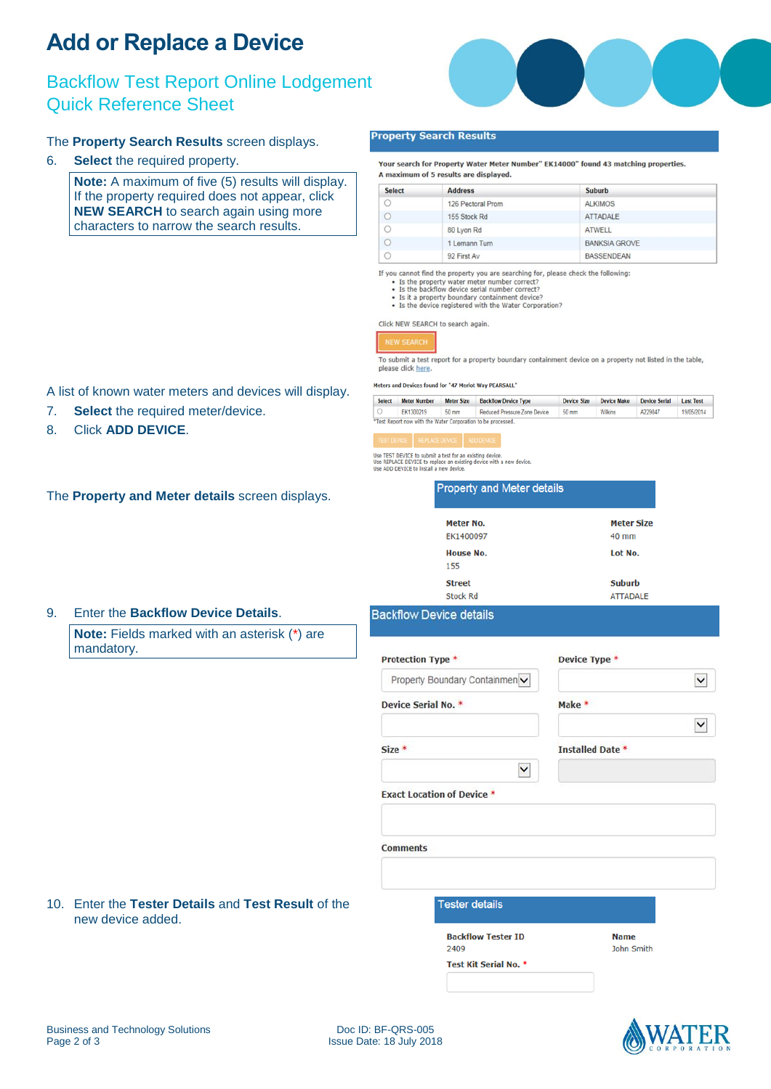# **Add or Replace a Device**

## Backflow Test Report Online Lodgement Quick Reference Sheet

### The **Property Search Results** screen displays.

6. **Select** the required property.

**Note:** A maximum of five (5) results will display. If the property required does not appear, click **NEW SEARCH** to search again using more characters to narrow the search results.

A list of known water meters and devices will display.

7. **Select** the required meter/device.

8. Click **ADD DEVICE**.



#### **Property Search Results**

Your search for Property Water Meter Number" EK14000" found 43 matching properties. A maximum of 5 results are displayed.

| <b>Select</b> | <b>Address</b>    | <b>Suburb</b>        |  |
|---------------|-------------------|----------------------|--|
| $\circ$       | 126 Pectoral Prom | <b>ALKIMOS</b>       |  |
|               | 155 Stock Rd      | <b>ATTADALE</b>      |  |
| $\circ$       | 80 Lyon Rd        | <b>ATWELL</b>        |  |
|               | 1 Lemann Turn     | <b>BANKSIA GROVE</b> |  |
|               | 92 First Av       | <b>BASSENDEAN</b>    |  |

If you cannot find the property you are searching for, please check the following:

**Property and Meter details** 

- 
- 
- Is the property water meter number correct?<br>• Is the brackflow device serial number correct?<br>• Is the backflow device serial number correct?<br>• Is the acceptry boundary containment device?<br>• Is the device registered with

Click NEW SEARCH to search again.

### **NEW SEARC**

To submit a test report for a property boundary containment device on a property not listed in the table, please click here.

Meters and Devices found for "47 Merlot Way PEARSALL"

| <b>Select</b> | <b>Meter Number</b>                                          | <b>Meter Size</b> | <b>Backflow Device Type</b>  | <b>Device Size</b> | <b>Device Make</b> | <b>Device Serial</b> | <b>Last Test</b> |
|---------------|--------------------------------------------------------------|-------------------|------------------------------|--------------------|--------------------|----------------------|------------------|
|               | EK1300219                                                    | 50 mm             | Reduced Pressure Zone Device | 50 mm              | <b>Wilkins</b>     | A229047              | 19/05/2014       |
|               | "Test Report now with the Water Corporation to be processed. |                   |                              |                    |                    |                      |                  |

Use TEST DEVICE to submit a test for an existing device.<br>Use REPLACE DEVICE to replace an existing device with a new device.<br>Use ADD DEVICE to install a new device.

| The Property and Meter details screen displays. |  |
|-------------------------------------------------|--|
|-------------------------------------------------|--|

| Meter No.        | <b>Meter Size</b> |
|------------------|-------------------|
| EK1400097        | $40$ mm           |
| <b>House No.</b> | Lot No.           |
| 155              |                   |
| <b>Street</b>    | <b>Suburb</b>     |
| <b>Stock Rd</b>  | <b>ATTADALE</b>   |

#### 9. Enter the **Backflow Device Details**.

**Note:** Fields marked with an asterisk (\*) are mandatory.

10. Enter the **Tester Details** and **Test Result** of the

#### **Backflow Device details**

| Protection Type *   |                                   | Device Type *           |  |
|---------------------|-----------------------------------|-------------------------|--|
|                     | Property Boundary Containmen v    |                         |  |
| Device Serial No. * |                                   | Make *                  |  |
|                     |                                   |                         |  |
| $Size*$             |                                   | <b>Installed Date *</b> |  |
|                     | $\checkmark$                      |                         |  |
|                     |                                   |                         |  |
|                     | <b>Exact Location of Device *</b> |                         |  |
|                     |                                   |                         |  |
|                     |                                   |                         |  |
| <b>Comments</b>     |                                   |                         |  |
|                     |                                   |                         |  |
|                     |                                   |                         |  |
|                     | <b>Tester details</b>             |                         |  |
|                     | <b>Backflow Tester ID</b>         | <b>Name</b>             |  |



new device added.